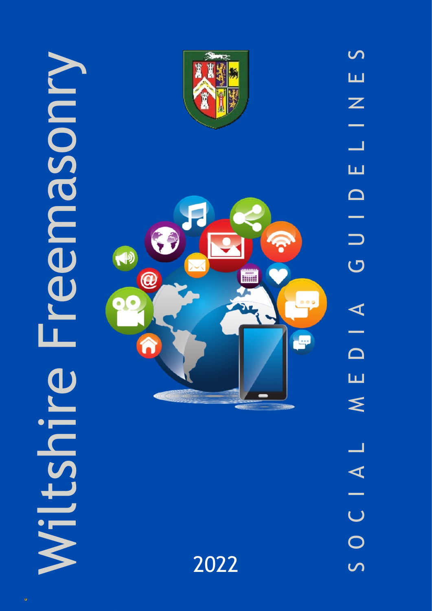

2022

S O C I A L M E D I A G U I D E L I N E S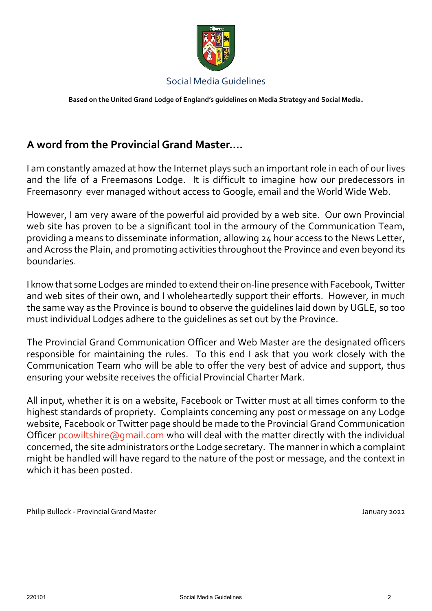

**Based on the United Grand Lodge of England's guidelines on Media Strategy and Social Media.**

# **A word from the Provincial Grand Master….**

I am constantly amazed at how the Internet plays such an important role in each of our lives and the life of a Freemasons Lodge. It is difficult to imagine how our predecessors in Freemasonry ever managed without access to Google, email and the World Wide Web.

However, I am very aware of the powerful aid provided by a web site. Our own Provincial web site has proven to be a significant tool in the armoury of the Communication Team, providing a means to disseminate information, allowing 24 hour access to the News Letter, and Across the Plain, and promoting activities throughout the Province and even beyond its boundaries.

I know that some Lodges are minded to extend their on-line presence with Facebook, Twitter and web sites of their own, and I wholeheartedly support their efforts. However, in much the same way as the Province is bound to observe the guidelines laid down by UGLE, so too must individual Lodges adhere to the guidelines as set out by the Province.

The Provincial Grand Communication Officer and Web Master are the designated officers responsible for maintaining the rules. To this end I ask that you work closely with the Communication Team who will be able to offer the very best of advice and support, thus ensuring your website receives the official Provincial Charter Mark.

All input, whether it is on a website, Facebook or Twitter must at all times conform to the highest standards of propriety. Complaints concerning any post or message on any Lodge website, Facebook or Twitter page should be made to the Provincial Grand Communication Office[r pcowiltshire@gmail.com](mailto:pcowiltshire@gmail.com) who will deal with the matter directly with the individual concerned, the site administrators or the Lodge secretary. The manner in which a complaint might be handled will have regard to the nature of the post or message, and the context in which it has been posted.

Philip Bullock - Provincial Grand Master January 2022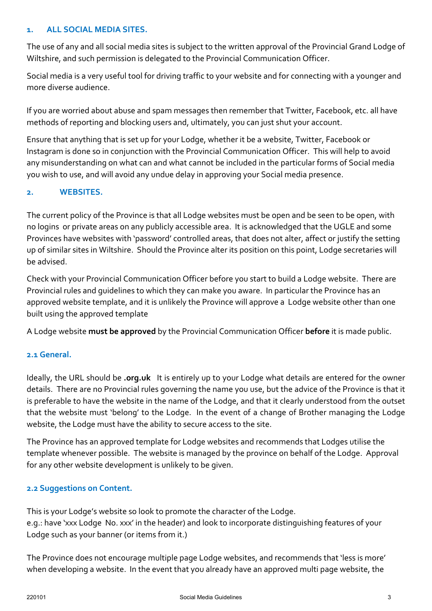### **1. ALL SOCIAL MEDIA SITES.**

The use of any and all social media sites is subject to the written approval of the Provincial Grand Lodge of Wiltshire, and such permission is delegated to the Provincial Communication Officer.

Social media is a very useful tool for driving traffic to your website and for connecting with a younger and more diverse audience.

If you are worried about abuse and spam messages then remember that Twitter, Facebook, etc. all have methods of reporting and blocking users and, ultimately, you can just shut your account.

Ensure that anything that is set up for your Lodge, whether it be a website, Twitter, Facebook or Instagram is done so in conjunction with the Provincial Communication Officer. This will help to avoid any misunderstanding on what can and what cannot be included in the particular forms of Social media you wish to use, and will avoid any undue delay in approving your Social media presence.

### **2. WEBSITES.**

The current policy of the Province is that all Lodge websites must be open and be seen to be open, with no logins or private areas on any publicly accessible area. It is acknowledged that the UGLE and some Provinces have websites with 'password' controlled areas, that does not alter, affect or justify the setting up of similar sites in Wiltshire. Should the Province alter its position on this point, Lodge secretaries will be advised.

Check with your Provincial Communication Officer before you start to build a Lodge website. There are Provincial rules and guidelines to which they can make you aware. In particular the Province has an approved website template, and it is unlikely the Province will approve a Lodge website other than one built using the approved template

A Lodge website **must be approved** by the Provincial Communication Officer **before** it is made public.

### **2.1 General.**

Ideally, the URL should be **.org.uk** It is entirely up to your Lodge what details are entered for the owner details. There are no Provincial rules governing the name you use, but the advice of the Province is that it is preferable to have the website in the name of the Lodge, and that it clearly understood from the outset that the website must 'belong' to the Lodge. In the event of a change of Brother managing the Lodge website, the Lodge must have the ability to secure access to the site.

The Province has an approved template for Lodge websites and recommends that Lodges utilise the template whenever possible. The website is managed by the province on behalf of the Lodge. Approval for any other website development is unlikely to be given.

### **2.2 Suggestions on Content.**

This is your Lodge's website so look to promote the character of the Lodge. e.g.: have 'xxx Lodge No. xxx' in the header) and look to incorporate distinguishing features of your Lodge such as your banner (or items from it.)

The Province does not encourage multiple page Lodge websites, and recommends that 'less is more' when developing a website. In the event that you already have an approved multi page website, the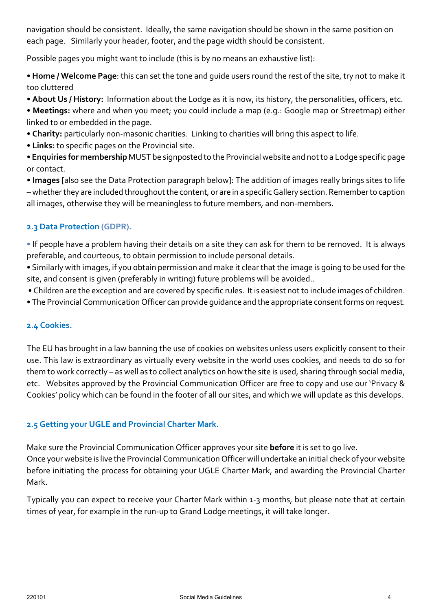navigation should be consistent. Ideally, the same navigation should be shown in the same position on each page. Similarly your header, footer, and the page width should be consistent.

Possible pages you might want to include (this is by no means an exhaustive list):

• **Home / Welcome Page**: this can set the tone and guide users round the rest of the site, try not to make it too cluttered

- **About Us / History:** Information about the Lodge as it is now, its history, the personalities, officers, etc.
- **Meetings:** where and when you meet; you could include a map (e.g.: Google map or Streetmap) either linked to or embedded in the page.
- **Charity:** particularly non-masonic charities. Linking to charities will bring this aspect to life.
- **Links:** to specific pages on the Provincial site.
- **Enquiries for membership** MUST be signposted to the Provincial website and not to a Lodge specific page or contact.

• **Images** [also see the Data Protection paragraph below]: The addition of images really brings sites to life – whether they are included throughout the content, or are in a specific Gallery section. Remember to caption all images, otherwise they will be meaningless to future members, and non-members.

## **2.3 Data Protection (GDPR).**

• If people have a problem having their details on a site they can ask for them to be removed. It is always preferable, and courteous, to obtain permission to include personal details.

• Similarly with images, if you obtain permission and make it clear that the image is going to be used for the site, and consent is given (preferably in writing) future problems will be avoided..

- Children are the exception and are covered by specific rules. It is easiest not to include images of children.
- The Provincial Communication Officer can provide guidance and the appropriate consent forms on request.

### **2.4 Cookies.**

The EU has brought in a law banning the use of cookies on websites unless users explicitly consent to their use. This law is extraordinary as virtually every website in the world uses cookies, and needs to do so for them to work correctly – as well as to collect analytics on how the site is used, sharing through social media, etc. Websites approved by the Provincial Communication Officer are free to copy and use our 'Privacy & Cookies' policy which can be found in the footer of all our sites, and which we will update as this develops.

# **2.5 Getting your UGLE and Provincial Charter Mark.**

Make sure the Provincial Communication Officer approves your site **before** it is set to go live. Once your website is live the Provincial Communication Officer will undertake an initial check of your website before initiating the process for obtaining your UGLE Charter Mark, and awarding the Provincial Charter Mark.

Typically you can expect to receive your Charter Mark within 1-3 months, but please note that at certain times of year, for example in the run-up to Grand Lodge meetings, it will take longer.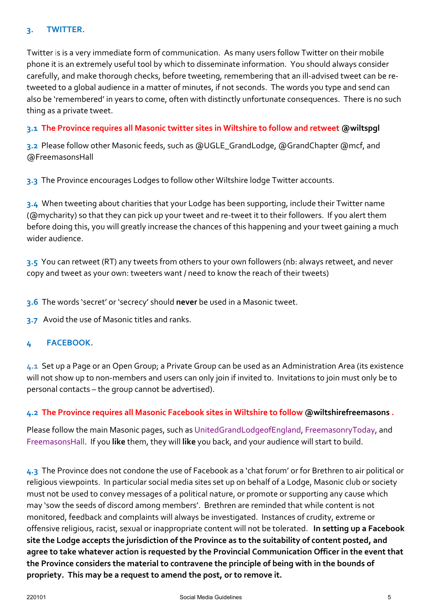#### **3. TWITTER.**

Twitter is is a very immediate form of communication. As many users follow Twitter on their mobile phone it is an extremely useful tool by which to disseminate information. You should always consider carefully, and make thorough checks, before tweeting, remembering that an ill-advised tweet can be retweeted to a global audience in a matter of minutes, if not seconds. The words you type and send can also be 'remembered' in years to come, often with distinctly unfortunate consequences. There is no such thing as a private tweet.

### **3.1 The Province requires all Masonic twitter sites in Wiltshire to follow and retweet @wiltspgl**

**3.2** Please follow other Masonic feeds, such as @UGLE\_GrandLodge, @GrandChapter @mcf, and @FreemasonsHall

**3.3** The Province encourages Lodges to follow other Wiltshire lodge Twitter accounts.

**3.4** When tweeting about charities that your Lodge has been supporting, include their Twitter name (@mycharity) so that they can pick up your tweet and re-tweet it to their followers. If you alert them before doing this, you will greatly increase the chances of this happening and your tweet gaining a much wider audience.

**3.5** You can retweet (RT) any tweets from others to your own followers (nb: always retweet, and never copy and tweet as your own: tweeters want / need to know the reach of their tweets)

**3.6** The words 'secret' or 'secrecy' should **never** be used in a Masonic tweet.

**3.7** Avoid the use of Masonic titles and ranks.

### **4 FACEBOOK.**

**4.1** Set up a Page or an Open Group; a Private Group can be used as an Administration Area (its existence will not show up to non-members and users can only join if invited to. Invitations to join must only be to personal contacts – the group cannot be advertised).

### **4.2 The Province requires all Masonic Facebook sites in Wiltshire to follow @wiltshirefreemasons .**

Please follow the main Masonic pages, such as UnitedGrandLodgeofEngland, FreemasonryToday, and FreemasonsHall. If you **like** them, they will **like** you back, and your audience will start to build.

**4.3** The Province does not condone the use of Facebook as a 'chat forum' or for Brethren to air political or religious viewpoints. In particular social media sites set up on behalf of a Lodge, Masonic club or society must not be used to convey messages of a political nature, or promote or supporting any cause which may 'sow the seeds of discord among members'. Brethren are reminded that while content is not monitored, feedback and complaints will always be investigated. Instances of crudity, extreme or offensive religious, racist, sexual or inappropriate content will not be tolerated. **In setting up a Facebook site the Lodge accepts the jurisdiction of the Province as to the suitability of content posted, and agree to take whatever action is requested by the Provincial Communication Officer in the event that the Province considers the material to contravene the principle of being with in the bounds of propriety. This may be a request to amend the post, or to remove it.**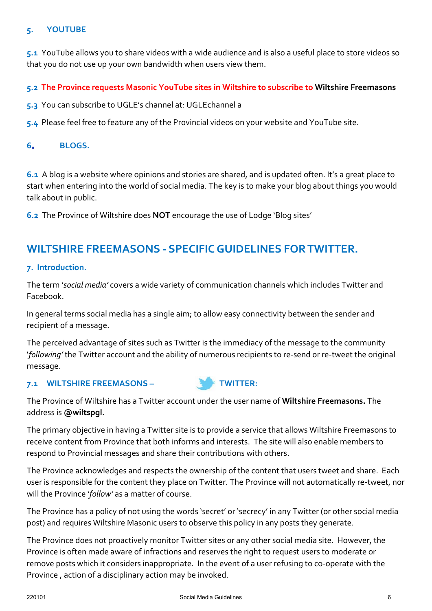#### **5. YOUTUBE**

**5.1** YouTube allows you to share videos with a wide audience and is also a useful place to store videos so that you do not use up your own bandwidth when users view them.

#### **5.2 The Province requests Masonic YouTube sites in Wiltshire to subscribe to Wiltshire Freemasons**

**5.3** You can subscribe to UGLE's channel at: UGLEchannel a

**5.4** Please feel free to feature any of the Provincial videos on your website and YouTube site.

#### **6. BLOGS.**

**6.1** A blog is a website where opinions and stories are shared, and is updated often. It's a great place to start when entering into the world of social media. The key is to make your blog about things you would talk about in public.

**6.2** The Province of Wiltshire does **NOT** encourage the use of Lodge 'Blog sites'

# **WILTSHIRE FREEMASONS - SPECIFIC GUIDELINES FOR TWITTER.**

#### **7. Introduction.**

The term '*social media'* covers a wide variety of communication channels which includes Twitter and Facebook.

In general terms social media has a single aim; to allow easy connectivity between the sender and recipient of a message.

The perceived advantage of sites such as Twitter is the immediacy of the message to the community '*following'* the Twitter account and the ability of numerous recipients to re-send or re-tweet the original message.

#### **7.1 WILTSHIRE FREEMASONS – TWITTER:**



The Province of Wiltshire has a Twitter account under the user name of **Wiltshire Freemasons.** The address is **@wiltspgl.**

The primary objective in having a Twitter site is to provide a service that allows Wiltshire Freemasons to receive content from Province that both informs and interests. The site will also enable members to respond to Provincial messages and share their contributions with others.

The Province acknowledges and respects the ownership of the content that users tweet and share. Each user is responsible for the content they place on Twitter. The Province will not automatically re-tweet, nor will the Province '*follow'* as a matter of course.

The Province has a policy of not using the words 'secret' or 'secrecy' in any Twitter (or other social media post) and requires Wiltshire Masonic users to observe this policy in any posts they generate.

The Province does not proactively monitor Twitter sites or any other social media site. However, the Province is often made aware of infractions and reserves the right to request users to moderate or remove posts which it considers inappropriate. In the event of a user refusing to co-operate with the Province , action of a disciplinary action may be invoked.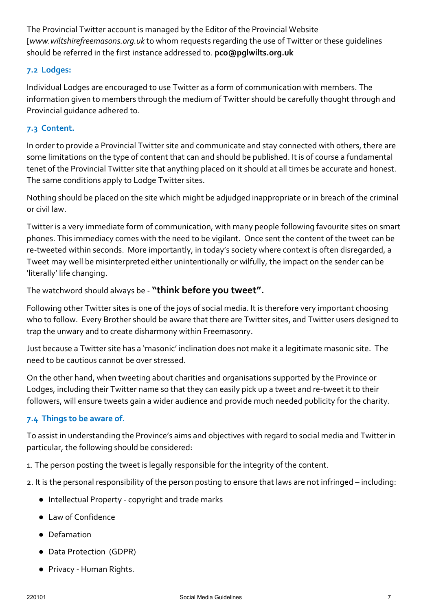The Provincial Twitter account is managed by the Editor of the Provincial Website [*www.wiltshirefreemasons.org.uk* to whom requests regarding the use of Twitter or these guidelines should be referred in the first instance addressed to. **pco@pglwilts.org.uk**

## **7.2 Lodges:**

Individual Lodges are encouraged to use Twitter as a form of communication with members. The information given to members through the medium of Twitter should be carefully thought through and Provincial guidance adhered to.

### **7.3 Content.**

In order to provide a Provincial Twitter site and communicate and stay connected with others, there are some limitations on the type of content that can and should be published. It is of course a fundamental tenet of the Provincial Twitter site that anything placed on it should at all times be accurate and honest. The same conditions apply to Lodge Twitter sites.

Nothing should be placed on the site which might be adjudged inappropriate or in breach of the criminal or civil law.

Twitter is a very immediate form of communication, with many people following favourite sites on smart phones. This immediacy comes with the need to be vigilant. Once sent the content of the tweet can be re-tweeted within seconds. More importantly, in today's society where context is often disregarded, a Tweet may well be misinterpreted either unintentionally or wilfully, the impact on the sender can be 'literally' life changing.

The watchword should always be - **"think before you tweet".**

Following other Twitter sites is one of the joys of social media. It is therefore very important choosing who to follow. Every Brother should be aware that there are Twitter sites, and Twitter users designed to trap the unwary and to create disharmony within Freemasonry.

Just because a Twitter site has a 'masonic' inclination does not make it a legitimate masonic site. The need to be cautious cannot be over stressed.

On the other hand, when tweeting about charities and organisations supported by the Province or Lodges, including their Twitter name so that they can easily pick up a tweet and re-tweet it to their followers, will ensure tweets gain a wider audience and provide much needed publicity for the charity.

### **7.4 Things to be aware of.**

To assist in understanding the Province's aims and objectives with regard to social media and Twitter in particular, the following should be considered:

1. The person posting the tweet is legally responsible for the integrity of the content.

2. It is the personal responsibility of the person posting to ensure that laws are not infringed – including:

- Intellectual Property copyright and trade marks
- Law of Confidence
- Defamation
- Data Protection (GDPR)
- Privacy Human Rights.